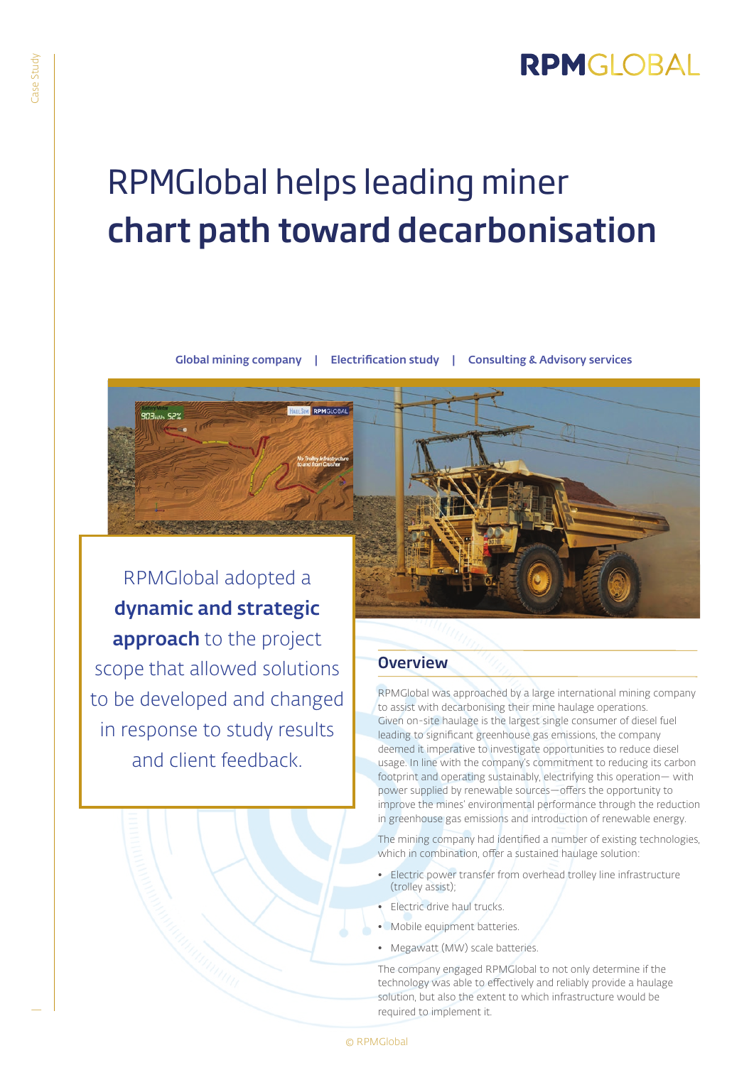## RPMGLOBAL

# RPMGlobal helps leading miner chart path toward decarbonisation

Global mining company | Electrification study | Consulting & Advisory services

RPMGlobal adopted a dynamic and strategic approach to the project scope that allowed solutions to be developed and changed in response to study results and client feedback.



#### **Overview**

RPMGlobal was approached by a large international mining company to assist with decarbonising their mine haulage operations. Given on-site haulage is the largest single consumer of diesel fuel leading to significant greenhouse gas emissions, the company deemed it imperative to investigate opportunities to reduce diesel usage. In line with the company's commitment to reducing its carbon footprint and operating sustainably, electrifying this operation— with power supplied by renewable sources—offers the opportunity to improve the mines' environmental performance through the reduction in greenhouse gas emissions and introduction of renewable energy.

The mining company had identified a number of existing technologies, which in combination, offer a sustained haulage solution:

- Electric power transfer from overhead trolley line infrastructure (trolley assist);
- Electric drive haul trucks.
- Mobile equipment batteries.
- Megawatt (MW) scale batteries.

The company engaged RPMGlobal to not only determine if the technology was able to effectively and reliably provide a haulage solution, but also the extent to which infrastructure would be required to implement it.